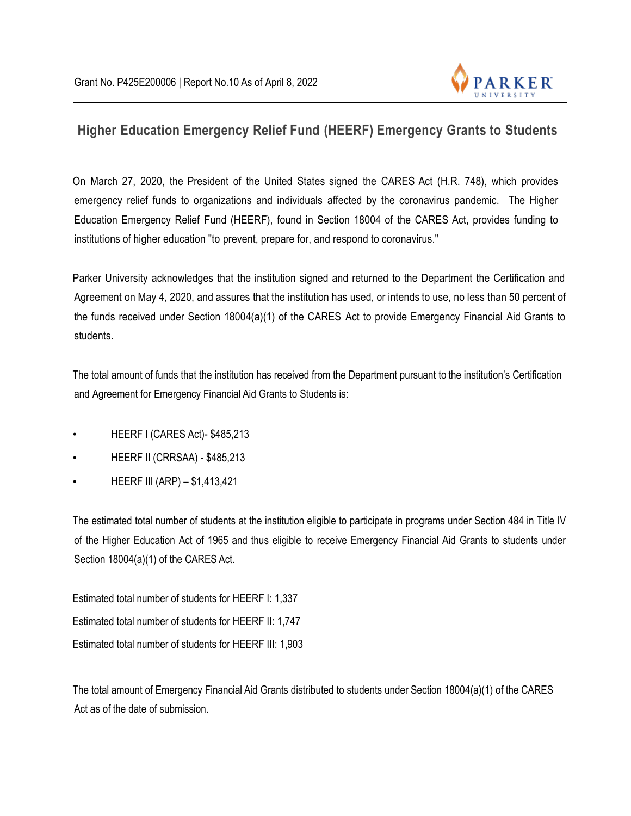

## **Higher Education Emergency Relief Fund (HEERF) Emergency Grants to Students**

On March 27, 2020, the President of the United States signed the CARES Act (H.R. 748), which provides emergency relief funds to organizations and individuals affected by the coronavirus pandemic. The Higher Education Emergency Relief Fund (HEERF), found in Section 18004 of the CARES Act, provides funding to institutions of higher education "to prevent, prepare for, and respond to coronavirus."

Parker University acknowledges that the institution signed and returned to the Department the Certification and Agreement on May 4, 2020, and assures that the institution has used, or intends to use, no less than 50 percent of the funds received under Section 18004(a)(1) of the CARES Act to provide Emergency Financial Aid Grants to students.

The total amount of funds that the institution has received from the Department pursuant to the institution's Certification and Agreement for Emergency Financial Aid Grants to Students is:

- HEERF I (CARES Act)- \$485,213
- HEERF II (CRRSAA) \$485,213
- HEERF III (ARP) \$1,413,421

The estimated total number of students at the institution eligible to participate in programs under Section 484 in Title IV of the Higher Education Act of 1965 and thus eligible to receive Emergency Financial Aid Grants to students under Section 18004(a)(1) of the CARES Act.

Estimated total number of students for HEERF I: 1,337 Estimated total number of students for HEERF II: 1,747 Estimated total number of students for HEERF III: 1,903

The total amount of Emergency Financial Aid Grants distributed to students under Section 18004(a)(1) of the CARES Act as of the date of submission.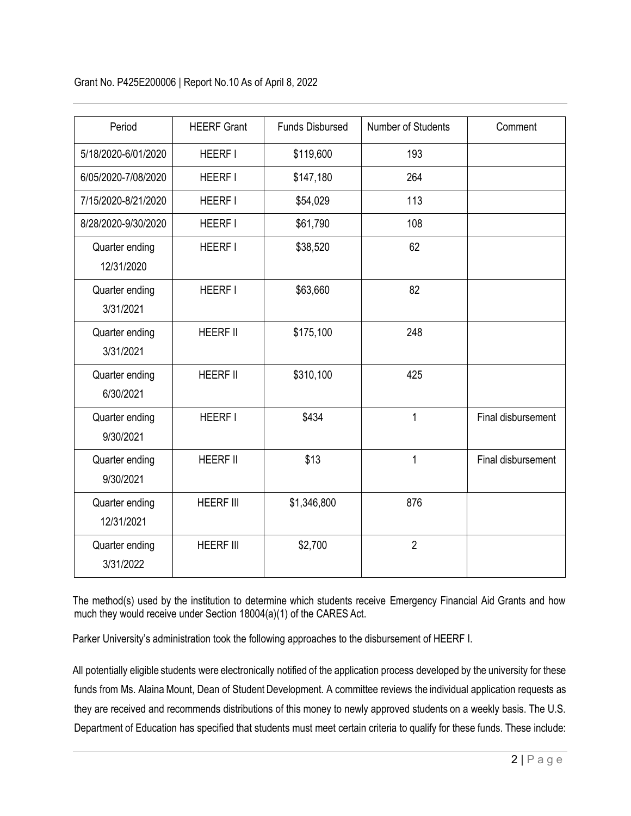Grant No. P425E200006 | Report No.10 As of April 8, 2022

| Period                       | <b>HEERF Grant</b> | <b>Funds Disbursed</b> | Number of Students | Comment            |
|------------------------------|--------------------|------------------------|--------------------|--------------------|
| 5/18/2020-6/01/2020          | <b>HEERF I</b>     | \$119,600              | 193                |                    |
| 6/05/2020-7/08/2020          | <b>HEERF I</b>     | \$147,180              | 264                |                    |
| 7/15/2020-8/21/2020          | <b>HEERF I</b>     | \$54,029               | 113                |                    |
| 8/28/2020-9/30/2020          | <b>HEERF I</b>     | \$61,790               | 108                |                    |
| Quarter ending<br>12/31/2020 | <b>HEERF I</b>     | \$38,520               | 62                 |                    |
| Quarter ending<br>3/31/2021  | <b>HEERF I</b>     | \$63,660               | 82                 |                    |
| Quarter ending<br>3/31/2021  | <b>HEERF II</b>    | \$175,100              | 248                |                    |
| Quarter ending<br>6/30/2021  | <b>HEERF II</b>    | \$310,100              | 425                |                    |
| Quarter ending<br>9/30/2021  | <b>HEERF I</b>     | \$434                  | $\mathbf{1}$       | Final disbursement |
| Quarter ending<br>9/30/2021  | <b>HEERF II</b>    | \$13                   | $\mathbf{1}$       | Final disbursement |
| Quarter ending<br>12/31/2021 | <b>HEERF III</b>   | \$1,346,800            | 876                |                    |
| Quarter ending<br>3/31/2022  | <b>HEERF III</b>   | \$2,700                | $\overline{2}$     |                    |

The method(s) used by the institution to determine which students receive Emergency Financial Aid Grants and how much they would receive under Section 18004(a)(1) of the CARES Act.

Parker University's administration took the following approaches to the disbursement of HEERF I.

All potentially eligible students were electronically notified of the application process developed by the university for these funds from Ms. Alaina Mount, Dean of Student Development. A committee reviews the individual application requests as they are received and recommends distributions of this money to newly approved students on a weekly basis. The U.S. Department of Education has specified that students must meet certain criteria to qualify for these funds. These include: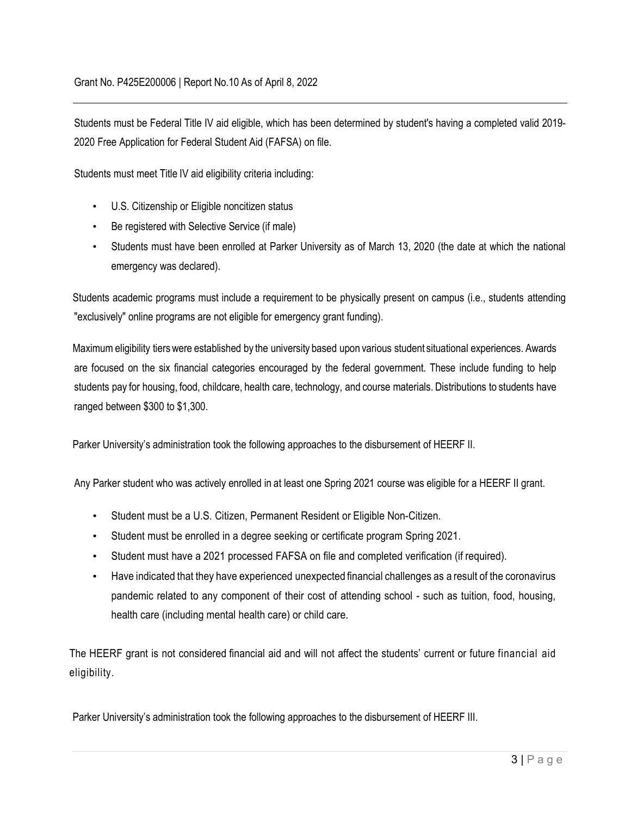Students must be Federal Title IV aid eligible, which has been determined by student's having a completed valid 2019- 2020 Free Application for Federal Student Aid (FAFSA) on file.

Students must meet Title IV aid eligibility criteria including:

- U.S. Citizenship or Eligible noncitizen status
- Be registered with Selective Service (if male)
- Students must have been enrolled at Parker University as of March 13, 2020 (the date at which the national emergency was declared).

Students academic programs must include a requirement to be physically present on campus (i.e., students attending "exclusively" online programs are not eligible for emergency grant funding).

Maximum eligibility tierswere established by the university based upon various student situational experiences. Awards are focused on the six financial categories encouraged by the federal government. These include funding to help students pay for housing, food, childcare, health care, technology, and course materials. Distributions to students have ranged between \$300 to \$1,300.

Parker University's administration took the following approaches to the disbursement of HEERF II.

Any Parker student who was actively enrolled in at least one Spring 2021 course was eligible for a HEERF II grant.

- Student must be a U.S. Citizen, Permanent Resident or Eligible Non-Citizen.
- Student must be enrolled in a degree seeking or certificate program Spring 2021.
- Student must have a 2021 processed FAFSA on file and completed verification (if required).
- Have indicated that they have experienced unexpected financial challenges as a result of the coronavirus pandemic related to any component of their cost of attending school - such as tuition, food, housing, health care (including mental health care) or child care.

The HEERF grant is not considered financial aid and will not affect the students' current or future financial aid eligibility.

Parker University's administration took the following approaches to the disbursement of HEERF III.